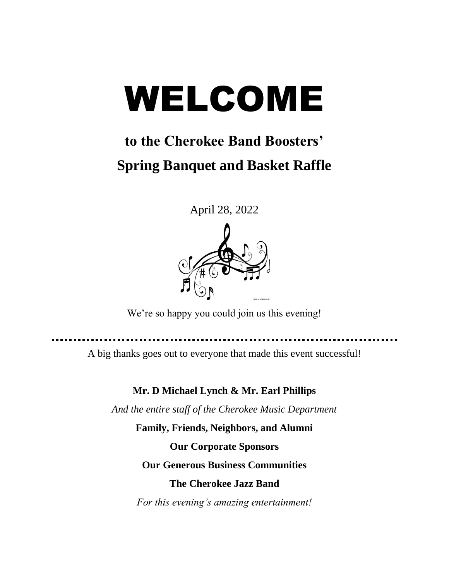# WELCOME

# **to the Cherokee Band Boosters' Spring Banquet and Basket Raffle**

April 28, 2022



We're so happy you could join us this evening!

. . . . . . . . . . . . . . . . . . . .

A big thanks goes out to everyone that made this event successful!

**Mr. D Michael Lynch & Mr. Earl Phillips**

*And the entire staff of the Cherokee Music Department*

**Family, Friends, Neighbors, and Alumni Our Corporate Sponsors Our Generous Business Communities The Cherokee Jazz Band**

*For this evening's amazing entertainment!*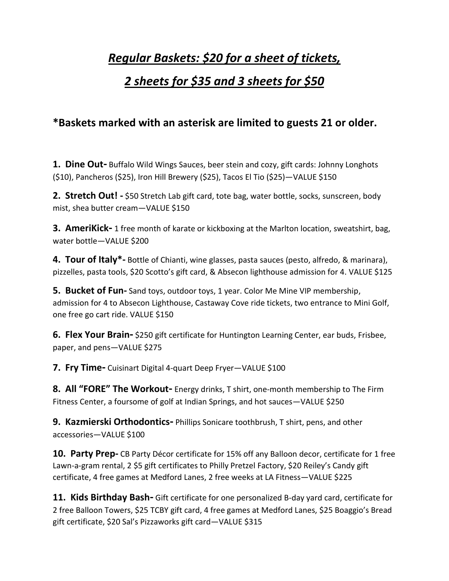### *Regular Baskets: \$20 for a sheet of tickets,*

#### *2 sheets for \$35 and 3 sheets for \$50*

#### **\*Baskets marked with an asterisk are limited to guests 21 or older.**

**1. Dine Out-** Buffalo Wild Wings Sauces, beer stein and cozy, gift cards: Johnny Longhots (\$10), Pancheros (\$25), Iron Hill Brewery (\$25), Tacos El Tio (\$25)—VALUE \$150

**2. Stretch Out! -** \$50 Stretch Lab gift card, tote bag, water bottle, socks, sunscreen, body mist, shea butter cream—VALUE \$150

**3. AmeriKick-** 1 free month of karate or kickboxing at the Marlton location, sweatshirt, bag, water bottle—VALUE \$200

**4. Tour of Italy\*-** Bottle of Chianti, wine glasses, pasta sauces (pesto, alfredo, & marinara), pizzelles, pasta tools, \$20 Scotto's gift card, & Absecon lighthouse admission for 4. VALUE \$125

**5. Bucket of Fun-** Sand toys, outdoor toys, 1 year. Color Me Mine VIP membership, admission for 4 to Absecon Lighthouse, Castaway Cove ride tickets, two entrance to Mini Golf, one free go cart ride. VALUE \$150

**6. Flex Your Brain-** \$250 gift certificate for Huntington Learning Center, ear buds, Frisbee, paper, and pens—VALUE \$275

**7. Fry Time-** Cuisinart Digital 4-quart Deep Fryer—VALUE \$100

**8. All "FORE" The Workout-** Energy drinks, T shirt, one-month membership to The Firm Fitness Center, a foursome of golf at Indian Springs, and hot sauces—VALUE \$250

**9. Kazmierski Orthodontics-** Phillips Sonicare toothbrush, T shirt, pens, and other accessories—VALUE \$100

**10. Party Prep-** CB Party Décor certificate for 15% off any Balloon decor, certificate for 1 free Lawn-a-gram rental, 2 \$5 gift certificates to Philly Pretzel Factory, \$20 Reiley's Candy gift certificate, 4 free games at Medford Lanes, 2 free weeks at LA Fitness—VALUE \$225

**11. Kids Birthday Bash-** Gift certificate for one personalized B-day yard card, certificate for 2 free Balloon Towers, \$25 TCBY gift card, 4 free games at Medford Lanes, \$25 Boaggio's Bread gift certificate, \$20 Sal's Pizzaworks gift card—VALUE \$315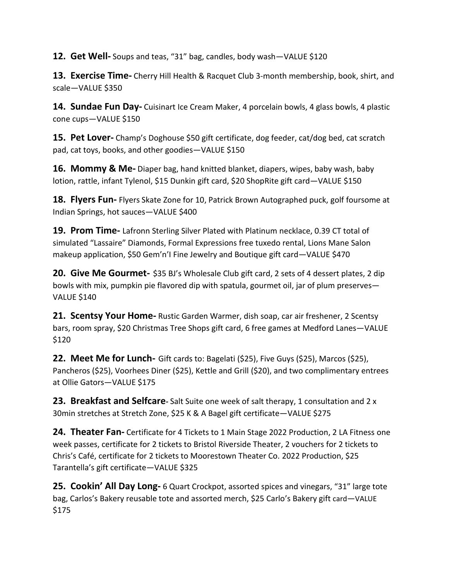**12. Get Well-** Soups and teas, "31" bag, candles, body wash—VALUE \$120

**13. Exercise Time-** Cherry Hill Health & Racquet Club 3-month membership, book, shirt, and scale—VALUE \$350

**14. Sundae Fun Day-** Cuisinart Ice Cream Maker, 4 porcelain bowls, 4 glass bowls, 4 plastic cone cups—VALUE \$150

**15. Pet Lover-** Champ's Doghouse \$50 gift certificate, dog feeder, cat/dog bed, cat scratch pad, cat toys, books, and other goodies—VALUE \$150

**16. Mommy & Me-** Diaper bag, hand knitted blanket, diapers, wipes, baby wash, baby lotion, rattle, infant Tylenol, \$15 Dunkin gift card, \$20 ShopRite gift card—VALUE \$150

**18. Flyers Fun-** Flyers Skate Zone for 10, Patrick Brown Autographed puck, golf foursome at Indian Springs, hot sauces—VALUE \$400

**19. Prom Time-** Lafronn Sterling Silver Plated with Platinum necklace, 0.39 CT total of simulated "Lassaire" Diamonds, Formal Expressions free tuxedo rental, Lions Mane Salon makeup application, \$50 Gem'n'I Fine Jewelry and Boutique gift card—VALUE \$470

**20. Give Me Gourmet-** \$35 BJ's Wholesale Club gift card, 2 sets of 4 dessert plates, 2 dip bowls with mix, pumpkin pie flavored dip with spatula, gourmet oil, jar of plum preserves— VALUE \$140

**21. Scentsy Your Home-** Rustic Garden Warmer, dish soap, car air freshener, 2 Scentsy bars, room spray, \$20 Christmas Tree Shops gift card, 6 free games at Medford Lanes—VALUE \$120

**22. Meet Me for Lunch-** Gift cards to: Bagelati (\$25), Five Guys (\$25), Marcos (\$25), Pancheros (\$25), Voorhees Diner (\$25), Kettle and Grill (\$20), and two complimentary entrees at Ollie Gators—VALUE \$175

**23. Breakfast and Selfcare-** Salt Suite one week of salt therapy, 1 consultation and 2 x 30min stretches at Stretch Zone, \$25 K & A Bagel gift certificate—VALUE \$275

**24. Theater Fan-** Certificate for 4 Tickets to 1 Main Stage 2022 Production, 2 LA Fitness one week passes, certificate for 2 tickets to Bristol Riverside Theater, 2 vouchers for 2 tickets to Chris's Café, certificate for 2 tickets to Moorestown Theater Co. 2022 Production, \$25 Tarantella's gift certificate—VALUE \$325

**25. Cookin' All Day Long-** 6 Quart Crockpot, assorted spices and vinegars, "31" large tote bag, Carlos's Bakery reusable tote and assorted merch, \$25 Carlo's Bakery gift card—VALUE \$175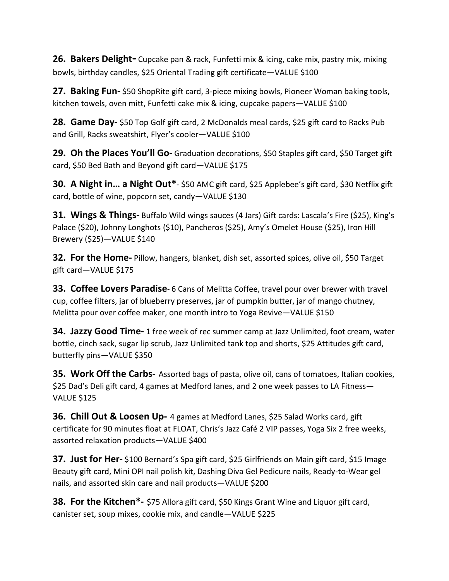**26. Bakers Delight-** Cupcake pan & rack, Funfetti mix & icing, cake mix, pastry mix, mixing bowls, birthday candles, \$25 Oriental Trading gift certificate—VALUE \$100

**27. Baking Fun-** \$50 ShopRite gift card, 3-piece mixing bowls, Pioneer Woman baking tools, kitchen towels, oven mitt, Funfetti cake mix & icing, cupcake papers—VALUE \$100

**28. Game Day-** \$50 Top Golf gift card, 2 McDonalds meal cards, \$25 gift card to Racks Pub and Grill, Racks sweatshirt, Flyer's cooler—VALUE \$100

**29. Oh the Places You'll Go-** Graduation decorations, \$50 Staples gift card, \$50 Target gift card, \$50 Bed Bath and Beyond gift card—VALUE \$175

**30. A Night in… a Night Out\***- \$50 AMC gift card, \$25 Applebee's gift card, \$30 Netflix gift card, bottle of wine, popcorn set, candy—VALUE \$130

**31. Wings & Things-** Buffalo Wild wings sauces (4 Jars) Gift cards: Lascala's Fire (\$25), King's Palace (\$20), Johnny Longhots (\$10), Pancheros (\$25), Amy's Omelet House (\$25), Iron Hill Brewery (\$25)—VALUE \$140

**32. For the Home-** Pillow, hangers, blanket, dish set, assorted spices, olive oil, \$50 Target gift card—VALUE \$175

**33. Coffee Lovers Paradise-** 6 Cans of Melitta Coffee, travel pour over brewer with travel cup, coffee filters, jar of blueberry preserves, jar of pumpkin butter, jar of mango chutney, Melitta pour over coffee maker, one month intro to Yoga Revive—VALUE \$150

**34. Jazzy Good Time-** 1 free week of rec summer camp at Jazz Unlimited, foot cream, water bottle, cinch sack, sugar lip scrub, Jazz Unlimited tank top and shorts, \$25 Attitudes gift card, butterfly pins—VALUE \$350

**35. Work Off the Carbs-** Assorted bags of pasta, olive oil, cans of tomatoes, Italian cookies, \$25 Dad's Deli gift card, 4 games at Medford lanes, and 2 one week passes to LA Fitness— VALUE \$125

**36. Chill Out & Loosen Up-** 4 games at Medford Lanes, \$25 Salad Works card, gift certificate for 90 minutes float at FLOAT, Chris's Jazz Café 2 VIP passes, Yoga Six 2 free weeks, assorted relaxation products—VALUE \$400

**37. Just for Her-** \$100 Bernard's Spa gift card, \$25 Girlfriends on Main gift card, \$15 Image Beauty gift card, Mini OPI nail polish kit, Dashing Diva Gel Pedicure nails, Ready-to-Wear gel nails, and assorted skin care and nail products—VALUE \$200

**38. For the Kitchen\*-** \$75 Allora gift card, \$50 Kings Grant Wine and Liquor gift card, canister set, soup mixes, cookie mix, and candle—VALUE \$225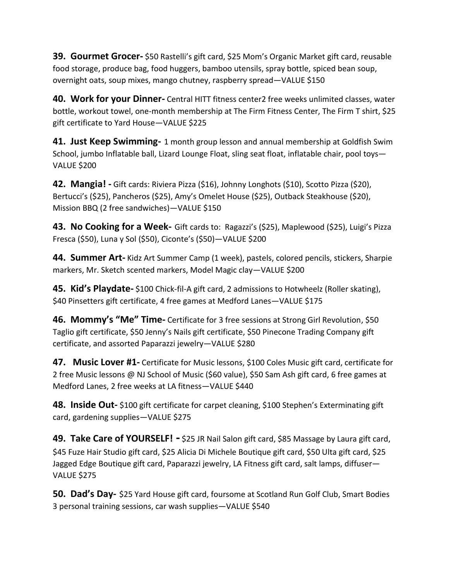**39. Gourmet Grocer-** \$50 Rastelli's gift card, \$25 Mom's Organic Market gift card, reusable food storage, produce bag, food huggers, bamboo utensils, spray bottle, spiced bean soup, overnight oats, soup mixes, mango chutney, raspberry spread—VALUE \$150

**40. Work for your Dinner-** Central HITT fitness center2 free weeks unlimited classes, water bottle, workout towel, one-month membership at The Firm Fitness Center, The Firm T shirt, \$25 gift certificate to Yard House—VALUE \$225

**41. Just Keep Swimming-** 1 month group lesson and annual membership at Goldfish Swim School, jumbo Inflatable ball, Lizard Lounge Float, sling seat float, inflatable chair, pool toys— VALUE \$200

**42. Mangia! -** Gift cards: Riviera Pizza (\$16), Johnny Longhots (\$10), Scotto Pizza (\$20), Bertucci's (\$25), Pancheros (\$25), Amy's Omelet House (\$25), Outback Steakhouse (\$20), Mission BBQ (2 free sandwiches)—VALUE \$150

**43. No Cooking for a Week-** Gift cards to: Ragazzi's (\$25), Maplewood (\$25), Luigi's Pizza Fresca (\$50), Luna y Sol (\$50), Ciconte's (\$50)—VALUE \$200

**44. Summer Art-** Kidz Art Summer Camp (1 week), pastels, colored pencils, stickers, Sharpie markers, Mr. Sketch scented markers, Model Magic clay—VALUE \$200

**45. Kid's Playdate-** \$100 Chick-fil-A gift card, 2 admissions to Hotwheelz (Roller skating), \$40 Pinsetters gift certificate, 4 free games at Medford Lanes—VALUE \$175

**46. Mommy's "Me" Time-** Certificate for 3 free sessions at Strong Girl Revolution, \$50 Taglio gift certificate, \$50 Jenny's Nails gift certificate, \$50 Pinecone Trading Company gift certificate, and assorted Paparazzi jewelry—VALUE \$280

**47. Music Lover #1-** Certificate for Music lessons, \$100 Coles Music gift card, certificate for 2 free Music lessons @ NJ School of Music (\$60 value), \$50 Sam Ash gift card, 6 free games at Medford Lanes, 2 free weeks at LA fitness—VALUE \$440

**48. Inside Out-** \$100 gift certificate for carpet cleaning, \$100 Stephen's Exterminating gift card, gardening supplies—VALUE \$275

**49. Take Care of YOURSELF! -** \$25 JR Nail Salon gift card, \$85 Massage by Laura gift card, \$45 Fuze Hair Studio gift card, \$25 Alicia Di Michele Boutique gift card, \$50 Ulta gift card, \$25 Jagged Edge Boutique gift card, Paparazzi jewelry, LA Fitness gift card, salt lamps, diffuser— VALUE \$275

**50. Dad's Day-** \$25 Yard House gift card, foursome at Scotland Run Golf Club, Smart Bodies 3 personal training sessions, car wash supplies—VALUE \$540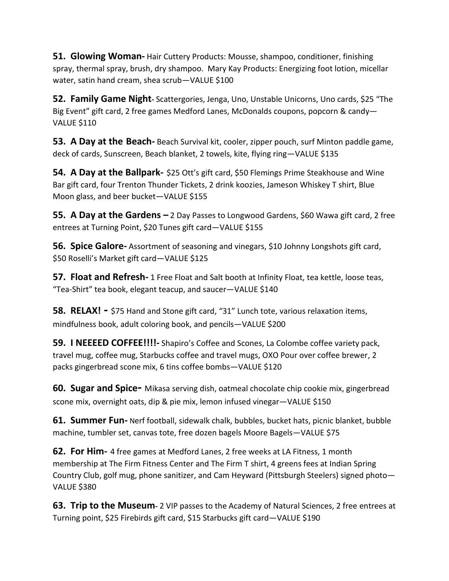**51. Glowing Woman-** Hair Cuttery Products: Mousse, shampoo, conditioner, finishing spray, thermal spray, brush, dry shampoo. Mary Kay Products: Energizing foot lotion, micellar water, satin hand cream, shea scrub—VALUE \$100

**52. Family Game Night-** Scattergories, Jenga, Uno, Unstable Unicorns, Uno cards, \$25 "The Big Event" gift card, 2 free games Medford Lanes, McDonalds coupons, popcorn & candy— VALUE \$110

**53. A Day at the Beach-** Beach Survival kit, cooler, zipper pouch, surf Minton paddle game, deck of cards, Sunscreen, Beach blanket, 2 towels, kite, flying ring—VALUE \$135

**54. A Day at the Ballpark-** \$25 Ott's gift card, \$50 Flemings Prime Steakhouse and Wine Bar gift card, four Trenton Thunder Tickets, 2 drink koozies, Jameson Whiskey T shirt, Blue Moon glass, and beer bucket—VALUE \$155

**55. A Day at the Gardens –** 2 Day Passes to Longwood Gardens, \$60 Wawa gift card, 2 free entrees at Turning Point, \$20 Tunes gift card—VALUE \$155

**56. Spice Galore-** Assortment of seasoning and vinegars, \$10 Johnny Longhots gift card, \$50 Roselli's Market gift card—VALUE \$125

**57. Float and Refresh-** 1 Free Float and Salt booth at Infinity Float, tea kettle, loose teas, "Tea-Shirt" tea book, elegant teacup, and saucer—VALUE \$140

**58. RELAX! -** \$75 Hand and Stone gift card, "31" Lunch tote, various relaxation items, mindfulness book, adult coloring book, and pencils—VALUE \$200

**59. I NEEEED COFFEE!!!!-**La Colombe coffee variety pack, travel mug, coffee mug, Starbucks coffee and travel mugs, OXO Pour over coffee brewer, 2 packs gingerbread scone mix, 6 tins coffee bombs—VALUE \$120

**60. Sugar and Spice-** Mikasa serving dish, oatmeal chocolate chip cookie mix, gingerbread scone mix, overnight oats, dip & pie mix, lemon infused vinegar—VALUE \$150

**61. Summer Fun-** Nerf football, sidewalk chalk, bubbles, bucket hats, picnic blanket, bubble machine, tumbler set, canvas tote, free dozen bagels Moore Bagels—VALUE \$75

**62. For Him-** 4 free games at Medford Lanes, 2 free weeks at LA Fitness, 1 month membership at The Firm Fitness Center and The Firm T shirt, 4 greens fees at Indian Spring Country Club, golf mug, phone sanitizer, and Cam Heyward (Pittsburgh Steelers) signed photo— VALUE \$380

**63. Trip to the Museum**- 2 VIP passes to the Academy of Natural Sciences, 2 free entrees at Turning point, \$25 Firebirds gift card, \$15 Starbucks gift card—VALUE \$190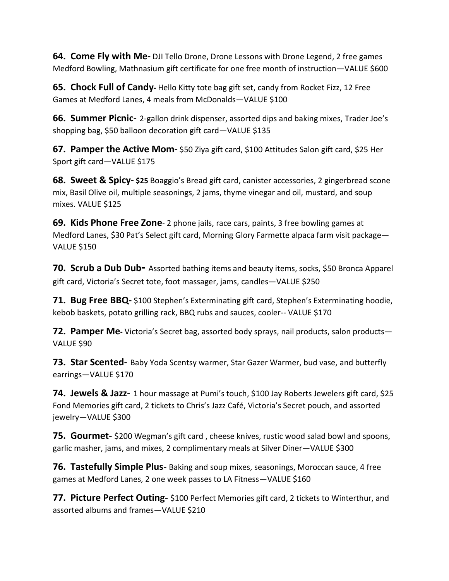**64. Come Fly with Me-** DJI Tello Drone, Drone Lessons with Drone Legend, 2 free games Medford Bowling, Mathnasium gift certificate for one free month of instruction—VALUE \$600

**65. Chock Full of Candy-** Hello Kitty tote bag gift set, candy from Rocket Fizz, 12 Free Games at Medford Lanes, 4 meals from McDonalds—VALUE \$100

**66. Summer Picnic-** 2-gallon drink dispenser, assorted dips and baking mixes, Trader Joe's shopping bag, \$50 balloon decoration gift card—VALUE \$135

**67. Pamper the Active Mom-** \$50 Ziya gift card, \$100 Attitudes Salon gift card, \$25 Her Sport gift card—VALUE \$175

**68. Sweet & Spicy- \$25** Boaggio's Bread gift card, canister accessories, 2 gingerbread scone mix, Basil Olive oil, multiple seasonings, 2 jams, thyme vinegar and oil, mustard, and soup mixes. VALUE \$125

**69. Kids Phone Free Zone-** 2 phone jails, race cars, paints, 3 free bowling games at Medford Lanes, \$30 Pat's Select gift card, Morning Glory Farmette alpaca farm visit package— VALUE \$150

**70. Scrub a Dub Dub-** Assorted bathing items and beauty items, socks, \$50 Bronca Apparel gift card, Victoria's Secret tote, foot massager, jams, candles—VALUE \$250

**71. Bug Free BBQ-** \$100 Stephen's Exterminating gift card, Stephen's Exterminating hoodie, kebob baskets, potato grilling rack, BBQ rubs and sauces, cooler-- VALUE \$170

**72. Pamper Me-** Victoria's Secret bag, assorted body sprays, nail products, salon products— VALUE \$90

**73. Star Scented-** Baby Yoda Scentsy warmer, Star Gazer Warmer, bud vase, and butterfly earrings—VALUE \$170

**74. Jewels & Jazz-** 1 hour massage at Pumi's touch, \$100 Jay Roberts Jewelers gift card, \$25 Fond Memories gift card, 2 tickets to Chris's Jazz Café, Victoria's Secret pouch, and assorted jewelry—VALUE \$300

**75. Gourmet-** \$200 Wegman's gift card , cheese knives, rustic wood salad bowl and spoons, garlic masher, jams, and mixes, 2 complimentary meals at Silver Diner—VALUE \$300

**76. Tastefully Simple Plus-** Baking and soup mixes, seasonings, Moroccan sauce, 4 free games at Medford Lanes, 2 one week passes to LA Fitness—VALUE \$160

**77. Picture Perfect Outing-** \$100 Perfect Memories gift card, 2 tickets to Winterthur, and assorted albums and frames—VALUE \$210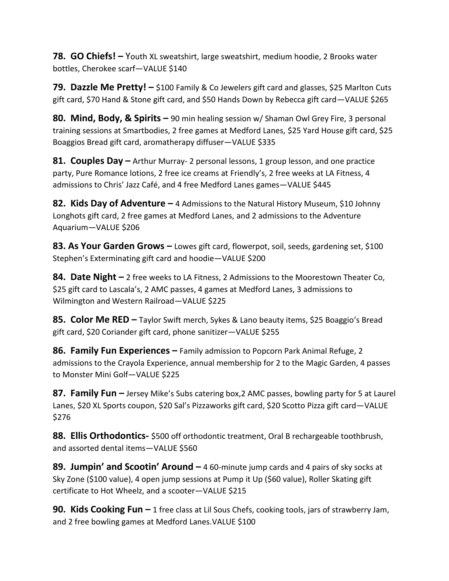**78. GO Chiefs! –** Youth XL sweatshirt, large sweatshirt, medium hoodie, 2 Brooks water bottles, Cherokee scarf—VALUE \$140

**79. Dazzle Me Pretty! –** \$100 Family & Co Jewelers gift card and glasses, \$25 Marlton Cuts gift card, \$70 Hand & Stone gift card, and \$50 Hands Down by Rebecca gift card—VALUE \$265

**80. Mind, Body, & Spirits –** 90 min healing session w/ Shaman Owl Grey Fire, 3 personal training sessions at Smartbodies, 2 free games at Medford Lanes, \$25 Yard House gift card, \$25 Boaggios Bread gift card, aromatherapy diffuser—VALUE \$335

**81. Couples Day –** Arthur Murray- 2 personal lessons, 1 group lesson, and one practice party, Pure Romance lotions, 2 free ice creams at Friendly's, 2 free weeks at LA Fitness, 4 admissions to Chris' Jazz Café, and 4 free Medford Lanes games—VALUE \$445

**82. Kids Day of Adventure –** 4 Admissions to the Natural History Museum, \$10 Johnny Longhots gift card, 2 free games at Medford Lanes, and 2 admissions to the Adventure Aquarium—VALUE \$206

**83. As Your Garden Grows –** Lowes gift card, flowerpot, soil, seeds, gardening set, \$100 Stephen's Exterminating gift card and hoodie—VALUE \$200

**84. Date Night –** 2 free weeks to LA Fitness, 2 Admissions to the Moorestown Theater Co, \$25 gift card to Lascala's, 2 AMC passes, 4 games at Medford Lanes, 3 admissions to Wilmington and Western Railroad—VALUE \$225

**85. Color Me RED –** Taylor Swift merch, Sykes & Lano beauty items, \$25 Boaggio's Bread gift card, \$20 Coriander gift card, phone sanitizer—VALUE \$255

**86. Family Fun Experiences –** Family admission to Popcorn Park Animal Refuge, 2 admissions to the Crayola Experience, annual membership for 2 to the Magic Garden, 4 passes to Monster Mini Golf—VALUE \$225

**87. Family Fun –** Jersey Mike's Subs catering box,2 AMC passes, bowling party for 5 at Laurel Lanes, \$20 XL Sports coupon, \$20 Sal's Pizzaworks gift card, \$20 Scotto Pizza gift card—VALUE \$276

**88. Ellis Orthodontics-** \$500 off orthodontic treatment, Oral B rechargeable toothbrush, and assorted dental items—VALUE \$560

**89. Jumpin' and Scootin' Around –** 4 60-minute jump cards and 4 pairs of sky socks at Sky Zone (\$100 value), 4 open jump sessions at Pump it Up (\$60 value), Roller Skating gift certificate to Hot Wheelz, and a scooter—VALUE \$215

**90. Kids Cooking Fun –** 1 free class at Lil Sous Chefs, cooking tools, jars of strawberry Jam, and 2 free bowling games at Medford Lanes.VALUE \$100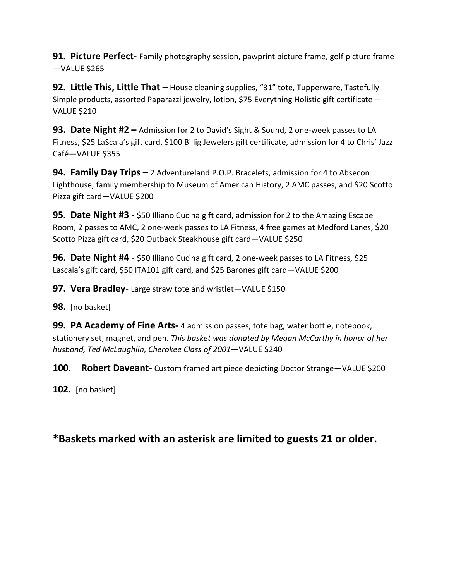**91. Picture Perfect-** Family photography session, pawprint picture frame, golf picture frame —VALUE \$265

**92. Little This, Little That –** House cleaning supplies, "31" tote, Tupperware, Tastefully Simple products, assorted Paparazzi jewelry, lotion, \$75 Everything Holistic gift certificate— VALUE \$210

**93. Date Night #2 –** Admission for 2 to David's Sight & Sound, 2 one-week passes to LA Fitness, \$25 LaScala's gift card, \$100 Billig Jewelers gift certificate, admission for 4 to Chris' Jazz Café—VALUE \$355

**94. Family Day Trips –** 2 Adventureland P.O.P. Bracelets, admission for 4 to Absecon Lighthouse, family membership to Museum of American History, 2 AMC passes, and \$20 Scotto Pizza gift card—VALUE \$200

**95. Date Night #3 -** \$50 Illiano Cucina gift card, admission for 2 to the Amazing Escape Room, 2 passes to AMC, 2 one-week passes to LA Fitness, 4 free games at Medford Lanes, \$20 Scotto Pizza gift card, \$20 Outback Steakhouse gift card—VALUE \$250

**96. Date Night #4 -** \$50 Illiano Cucina gift card, 2 one-week passes to LA Fitness, \$25 Lascala's gift card, \$50 ITA101 gift card, and \$25 Barones gift card-VALUE \$200

**97. Vera Bradley-** Large straw tote and wristlet—VALUE \$150

**98.** [no basket]

**99. PA Academy of Fine Arts-** 4 admission passes, tote bag, water bottle, notebook, stationery set, magnet, and pen. *This basket was donated by Megan McCarthy in honor of her husband, Ted McLaughlin, Cherokee Class of 2001*—VALUE \$240

**100. Robert Daveant-** Custom framed art piece depicting Doctor Strange—VALUE \$200

**102.** [no basket]

#### **\*Baskets marked with an asterisk are limited to guests 21 or older.**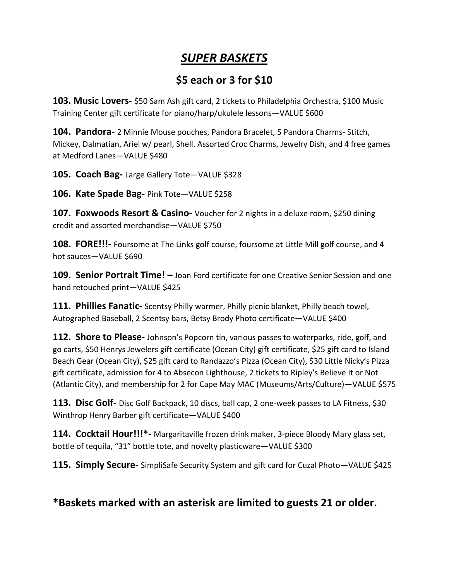#### *SUPER BASKETS*

#### **\$5 each or 3 for \$10**

**103. Music Lovers-** \$50 Sam Ash gift card, 2 tickets to Philadelphia Orchestra, \$100 Music Training Center gift certificate for piano/harp/ukulele lessons—VALUE \$600

**104. Pandora-** 2 Minnie Mouse pouches, Pandora Bracelet, 5 Pandora Charms- Stitch, Mickey, Dalmatian, Ariel w/ pearl, Shell. Assorted Croc Charms, Jewelry Dish, and 4 free games at Medford Lanes—VALUE \$480

**105. Coach Bag-** Large Gallery Tote—VALUE \$328

**106. Kate Spade Bag-** Pink Tote—VALUE \$258

**107. Foxwoods Resort & Casino-** Voucher for 2 nights in a deluxe room, \$250 dining credit and assorted merchandise—VALUE \$750

**108. FORE!!!-** Foursome at The Links golf course, foursome at Little Mill golf course, and 4 hot sauces—VALUE \$690

**109. Senior Portrait Time! –** Joan Ford certificate for one Creative Senior Session and one hand retouched print—VALUE \$425

**111. Phillies Fanatic-** Scentsy Philly warmer, Philly picnic blanket, Philly beach towel, Autographed Baseball, 2 Scentsy bars, Betsy Brody Photo certificate—VALUE \$400

**112. Shore to Please-** Johnson's Popcorn tin, various passes to waterparks, ride, golf, and go carts, \$50 Henrys Jewelers gift certificate (Ocean City) gift certificate, \$25 gift card to Island Beach Gear (Ocean City), \$25 gift card to Randazzo's Pizza (Ocean City), \$30 Little Nicky's Pizza gift certificate, admission for 4 to Absecon Lighthouse, 2 tickets to Ripley's Believe It or Not (Atlantic City), and membership for 2 for Cape May MAC (Museums/Arts/Culture)—VALUE \$575

**113. Disc Golf-** Disc Golf Backpack, 10 discs, ball cap, 2 one-week passes to LA Fitness, \$30 Winthrop Henry Barber gift certificate—VALUE \$400

**114. Cocktail Hour!!!\*-** Margaritaville frozen drink maker, 3-piece Bloody Mary glass set, bottle of tequila, "31" bottle tote, and novelty plasticware—VALUE \$300

**115. Simply Secure-** SimpliSafe Security System and gift card for Cuzal Photo—VALUE \$425

#### **\*Baskets marked with an asterisk are limited to guests 21 or older.**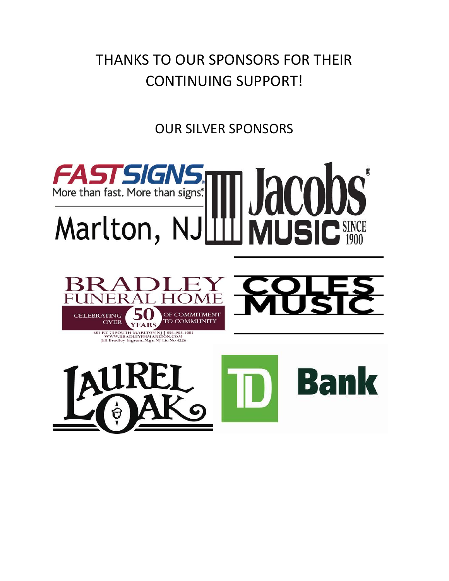## THANKS TO OUR SPONSORS FOR THEIR CONTINUING SUPPORT!

OUR SILVER SPONSORS

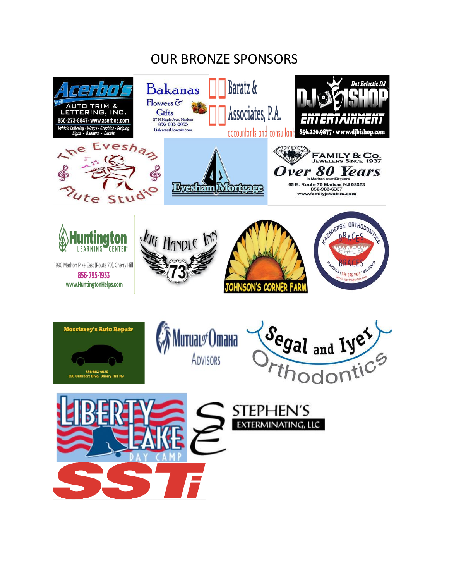### OUR BRONZE SPONSORS

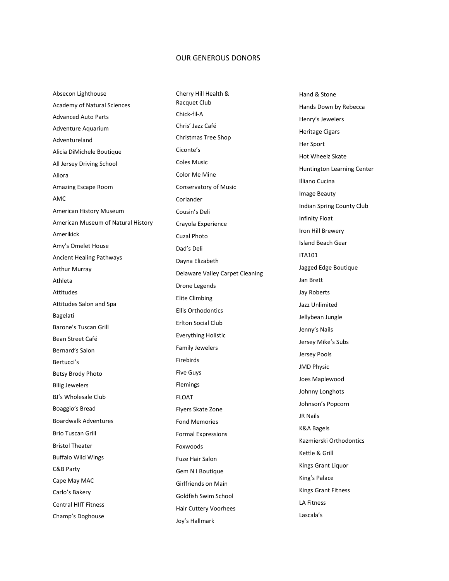#### OUR GENEROUS DONORS

Absecon Lighthouse Academy of Natural Sciences Advanced Auto Parts Adventure Aquarium Adventureland Alicia DiMichele Boutique All Jersey Driving School Allora Amazing Escape Room AMC American History Museum American Museum of Natural History Amerikick Amy's Omelet House Ancient Healing Pathways Arthur Murray Athleta Attitudes Attitudes Salon and Spa Bagelati Barone's Tuscan Grill Bean Street Café Bernard's Salon Bertucci's Betsy Brody Photo Bilig Jewelers BJ's Wholesale Club Boaggio's Bread Boardwalk Adventures Brio Tuscan Grill Bristol Theater Buffalo Wild Wings C&B Party Cape May MAC Carlo's Bakery Central HIIT Fitness Champ's Doghouse

Cherry Hill Health & Racquet Club Chick-fil-A Chris' Jazz Café Christmas Tree Shop Ciconte's Coles Music Color Me Mine Conservatory of Music Coriander Cousin's Deli Crayola Experience Cuzal Photo Dad's Deli Dayna Elizabeth Delaware Valley Carpet Cleaning Drone Legends Elite Climbing Ellis Orthodontics Erlton Social Club Everything Holistic Family Jewelers Firebirds Five Guys Flemings FLOAT Flyers Skate Zone Fond Memories Formal Expressions Foxwoods Fuze Hair Salon Gem N I Boutique Girlfriends on Main Goldfish Swim School Hair Cuttery Voorhees Joy's Hallmark

Hand & Stone Hands Down by Rebecca Henry's Jewelers Heritage Cigars Her Sport Hot Wheelz Skate Huntington Learning Center Illiano Cucina Image Beauty Indian Spring County Club Infinity Float Iron Hill Brewery Island Beach Gear ITA101 Jagged Edge Boutique Jan Brett Jay Roberts Jazz Unlimited Jellybean Jungle Jenny's Nails Jersey Mike's Subs Jersey Pools JMD Physic Joes Maplewood Johnny Longhots Johnson's Popcorn JR Nails K&A Bagels Kazmierski Orthodontics Kettle & Grill Kings Grant Liquor King's Palace Kings Grant Fitness LA Fitness Lascala's